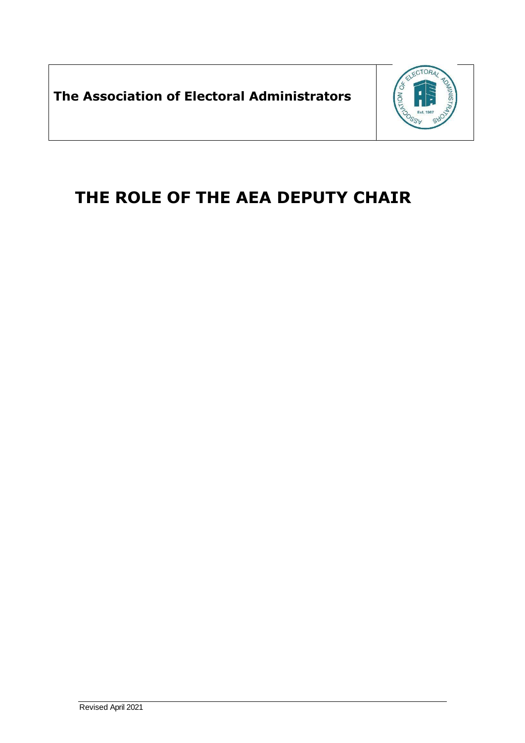**The Association of Electoral Administrators**



## **THE ROLE OF THE AEA DEPUTY CHAIR**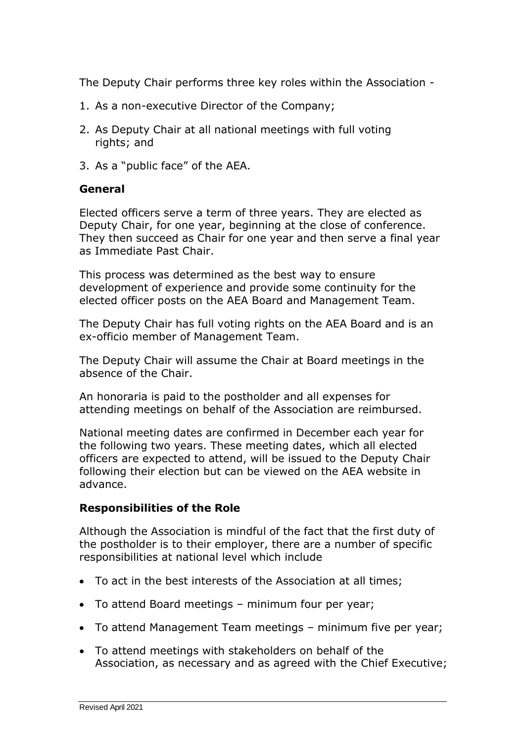The Deputy Chair performs three key roles within the Association -

- 1. As a non-executive Director of the Company;
- 2. As Deputy Chair at all national meetings with full voting rights; and
- 3. As a "public face" of the AEA.

## **General**

Elected officers serve a term of three years. They are elected as Deputy Chair, for one year, beginning at the close of conference. They then succeed as Chair for one year and then serve a final year as Immediate Past Chair.

This process was determined as the best way to ensure development of experience and provide some continuity for the elected officer posts on the AEA Board and Management Team.

The Deputy Chair has full voting rights on the AEA Board and is an ex-officio member of Management Team.

The Deputy Chair will assume the Chair at Board meetings in the absence of the Chair.

An honoraria is paid to the postholder and all expenses for attending meetings on behalf of the Association are reimbursed.

National meeting dates are confirmed in December each year for the following two years. These meeting dates, which all elected officers are expected to attend, will be issued to the Deputy Chair following their election but can be viewed on the AEA website in advance.

## **Responsibilities of the Role**

Although the Association is mindful of the fact that the first duty of the postholder is to their employer, there are a number of specific responsibilities at national level which include

- To act in the best interests of the Association at all times;
- To attend Board meetings minimum four per year;
- To attend Management Team meetings minimum five per year;
- To attend meetings with stakeholders on behalf of the Association, as necessary and as agreed with the Chief Executive;